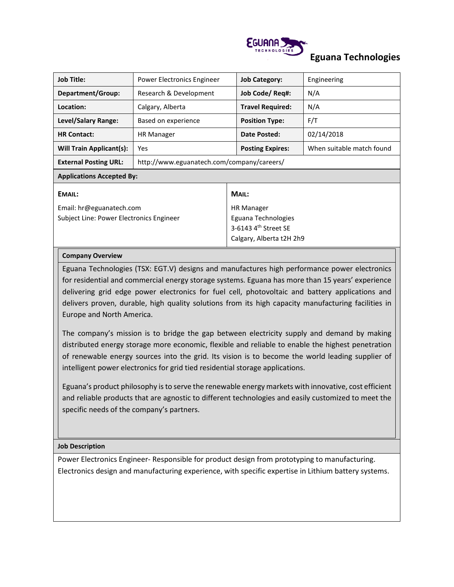

# **Eguana Technologies**

| <b>Job Title:</b>                        | Power Electronics Engineer                 | <b>Job Category:</b>    |  | Engineering               |
|------------------------------------------|--------------------------------------------|-------------------------|--|---------------------------|
| Department/Group:                        | Research & Development                     | Job Code/ Req#:         |  | N/A                       |
| Location:                                | Calgary, Alberta                           | <b>Travel Required:</b> |  | N/A                       |
| Level/Salary Range:                      | Based on experience                        | <b>Position Type:</b>   |  | F/T                       |
| <b>HR Contact:</b>                       | <b>HR Manager</b>                          | Date Posted:            |  | 02/14/2018                |
| <b>Will Train Applicant(s):</b>          | <b>Yes</b>                                 | <b>Posting Expires:</b> |  | When suitable match found |
| <b>External Posting URL:</b>             | http://www.eguanatech.com/company/careers/ |                         |  |                           |
| <b>Applications Accepted By:</b>         |                                            |                         |  |                           |
| <b>EMAIL:</b>                            |                                            | MAIL:                   |  |                           |
| Email: hr@eguanatech.com                 |                                            | <b>HR Manager</b>       |  |                           |
| Subject Line: Power Electronics Engineer |                                            | Eguana Technologies     |  |                           |
|                                          |                                            | 3-6143 $4th$ Street SE  |  |                           |
|                                          | Calgary, Alberta t2H 2h9                   |                         |  |                           |

### **Company Overview**

Eguana Technologies (TSX: EGT.V) designs and manufactures high performance power electronics for residential and commercial energy storage systems. Eguana has more than 15 years' experience delivering grid edge power electronics for fuel cell, photovoltaic and battery applications and delivers proven, durable, high quality solutions from its high capacity manufacturing facilities in Europe and North America.

The company's mission is to bridge the gap between electricity supply and demand by making distributed energy storage more economic, flexible and reliable to enable the highest penetration of renewable energy sources into the grid. Its vision is to become the world leading supplier of intelligent power electronics for grid tied residential storage applications.

Eguana's product philosophy is to serve the renewable energy markets with innovative, cost efficient and reliable products that are agnostic to different technologies and easily customized to meet the specific needs of the company's partners.

#### **Job Description**

Power Electronics Engineer- Responsible for product design from prototyping to manufacturing. Electronics design and manufacturing experience, with specific expertise in Lithium battery systems.